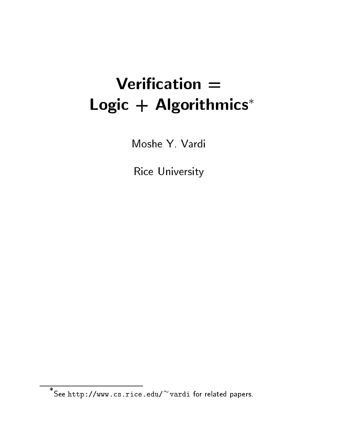# Verification  $=$ Logic  $+$  Algorithmics\*

Moshe Y. Vardi

Rice University

See http://www.cs.rice.edu/ vardi for related papers.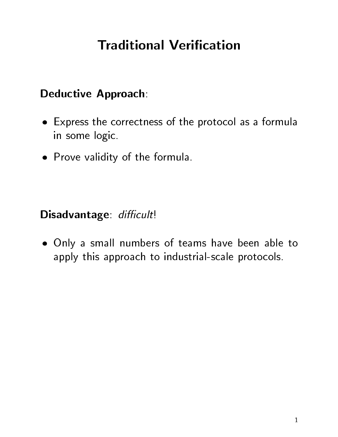# **Traditional Verification**

#### Deductive Approach:

- Express the correctness of the protocol as a formula in some logic.
- Prove validity of the formula.

Disadvantage: difficult!

 Only a small numbers of teams have been able to apply this approach to industrial-scale protocols.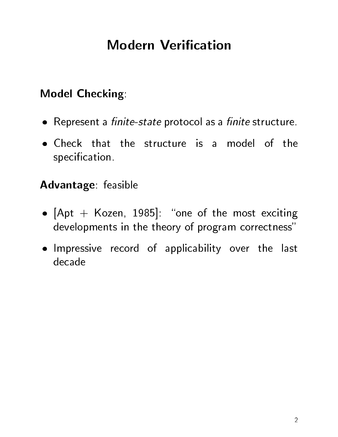# **Modern Verification**

### Model Checking:

- Represent a nite-state protocol as a nite structure.
- specification.

#### Advantage: feasible

- $\blacksquare$  . The most exciting the most exciting terms exciting to the most exciting terms of the most exciting terms of the most exciting terms of the most exciting terms of the most exciting terms of the most exciting terms developments in the theory of program correctness"
- Impressive record of applicability over the last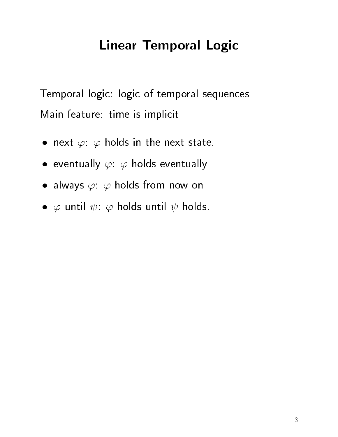# Linear Temporal Logic

Temporal logic: logic of temporal sequences Main feature: time is implicit

- $\bullet$  next  $\varphi$ :  $\varphi$  holds in the next state.
- $\bullet$  eventually  $\varphi\colon\varphi$  holds eventually
- $\bullet\,$  always  $\varphi\colon\,\varphi$  holds from now on
- $\bullet \hspace{1mm} \varphi$  until  $\psi \colon \varphi$  holds until  $\psi$  holds.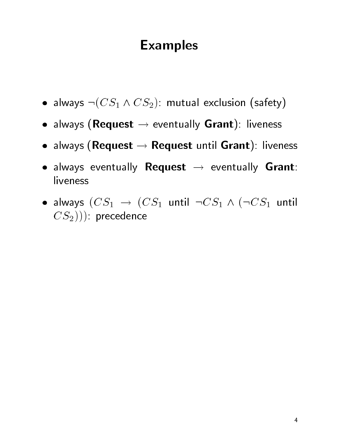## Examples

- $\bullet$  always  $\neg(CS_1 \land CS_2)$ : mutual exclusion (safety)  $\Box$
- always (Request  $\rightarrow$  eventually Grant): liveness
- always (Request  $\rightarrow$  Request until Grant): liveness
- always eventually **Request**  $\rightarrow$  eventually Grant: liveness
- $\bullet$  always  $(CS_1 \rightarrow (CS_1$  until  $\neg CS_1 \wedge (\neg CS_1$  until  $(CS_2))$ : precedence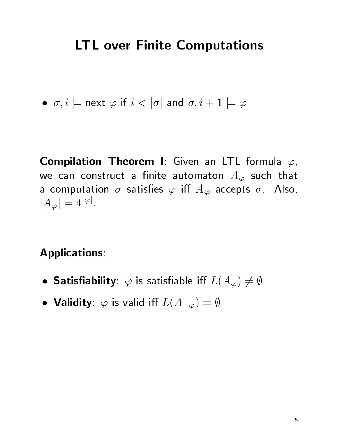# LTL over Finite Computations

 $\bullet \ \ \sigma,i \models$  next  $\varphi$  if  $i < |\sigma|$  and  $\sigma,i+1 \models \varphi$ 

**Compilation Theorem I:** Given an LTL formula  $\varphi$ , we can construct a finite automaton  $A_{\varphi}$  such that a computation  $\sigma$  satisfies  $\varphi$  iff  $A_{\varphi}$  accepts  $\sigma$ . Also,  $|A_{\varphi}| = 4^{|\varphi|}.$ 

Applications:

- $\bullet$  Satisfiability:  $\varphi$  is satisfiable iff  $L(A_{\varphi})\neq \emptyset$
- Validity:  $\varphi$  is valid iff  $L(A_{\neg \varphi}) = \emptyset$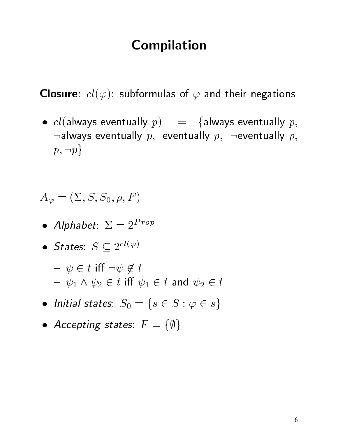### Compilation

**Closure**:  $cl(\varphi)$ : subformulas of  $\varphi$  and their negations

•  $cl$ (always eventually  $p$ ) = {always eventually  $p$ ,  $\lnot$  always eventually  $p$ , eventually  $p$ ,  $\lnot$  eventually  $p$ ,  $p, \neg p\}$ 

$$
A_{\varphi}=(\Sigma,S,S_0,\rho,F)
$$

- Alphabet:  $\mathcal{Z} \equiv \mathcal{Z}^{--\mathcal{I}}$
- States:  $S \subseteq 2^{cl(\varphi)}$

$$
- \psi \in t \text{ iff } \neg \psi \notin t
$$
  

$$
- \psi_1 \wedge \psi_2 \in t \text{ iff } \psi_1 \in t \text{ and } \psi_2 \in t
$$

- $\bullet$  Initial states:  $S_0 = \{s \in S : \varphi \in s\}$
- Accepting states:  $F = \{\emptyset\}$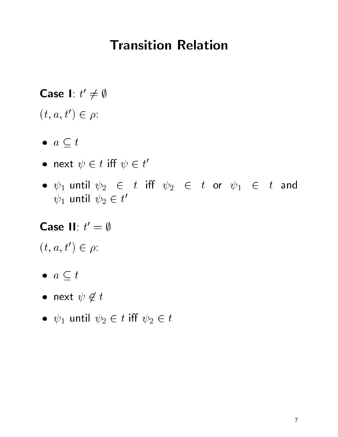## Transition Relation

**Case** I:  $t' \neq \emptyset$  $(t, a, t') \in \rho$ :

- $\bullet \ \ a \subseteq t$
- $\bullet$  next  $\psi \in t$  iff  $\psi \in t'$
- $\psi_1$  until  $\psi_2$   $\in$  t iff  $\psi_2$   $\in$  t or  $\psi_1$   $\in$  t and  $\psi_1$  until  $\psi_2 \in t'$

Case II:  $t' = \emptyset$  $(t, a, t') \in \rho$ :

- $\bullet \ \ a \subseteq t$
- $\bullet$  next  $\psi \not \in t$
- $\psi_1$  until  $\psi_2 \in t$  iff  $\psi_2 \in t$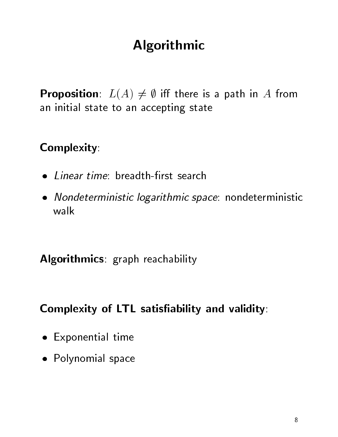# Algorithmic

**Proposition**:  $L(A) \neq \emptyset$  iff there is a path in A from an initial state to an accepting state

### Complexity:

- Linear time: breadth-first search
- Nondeterministic logarithmic space: nondeterministic walk

Algorithmics: graph reachability

#### Complexity of LTL satisfiability and validity:

- Exponential time and the control of the control of the control of the control of the control of the control of
- Polynomial space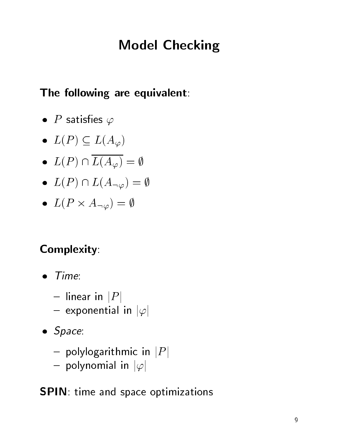# Model Checking

### The following are equivalent:

- $\bullet$  P satisfies  $\varphi$
- $\bullet \ \ L(P) \subseteq L(A_{\varphi})$
- $\bullet \ \ L(P) \cap L(A_{\varphi}) = \emptyset$
- $\bullet \ \ L(P) \cap L(A_{\neg \varphi}) = \emptyset$
- $\bullet \ \ L(P\times A_{\neg\varphi})=\emptyset$

## Complexity:

- $\bullet$  Time:
	- linear in  $|P|$
	- exponential in  $|\varphi|$
- $\sim$  space. So the space of  $\sim$ 
	- polylogarithmic in  $|P|$
	- polynomial in  $|\varphi|$

### SPIN: time and space optimizations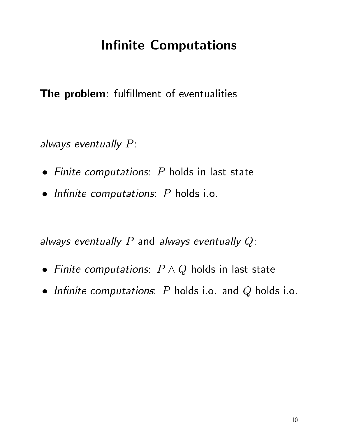# **Infinite Computations**

The problem: fulfillment of eventualities

always eventually  $P$ :

- Finite computations: P holds in last state
- In the computations: P holds in the computations: P holds in the computations: P holds in the computations: P h

always eventually P and always eventually  $Q$ :

- $\bullet$  Finite computations:  $P \wedge Q$  holds in last state
- Innite computations: P holds i.o. and Q holds i.o.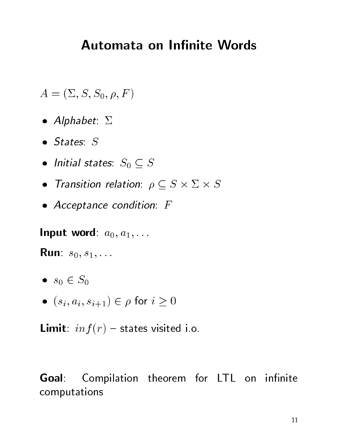## Automata on Infinite Words

 $A = (\Sigma, S, S_0, \rho, F)$ 

- Alphabet:
- $\bullet$  States:  $S$
- $\bullet$  Initial states:  $S_0 \subseteq S$
- $\bullet$  Transition relation:  $\rho \subseteq S \times \Sigma \times S$
- Acceptance condition: F

Input word:  $a_0, a_1, \ldots$ 

**Run**:  $s_0, s_1, \ldots$ 

- $s_0 \in S_0$
- $\bullet \ (s_i, a_i, s_{i+1}) \in \rho \text{ for } i \geq 0$

**Limit**:  $inf(r)$  – states visited i.o.

Goal: Compilation theorem for LTL on infinite computations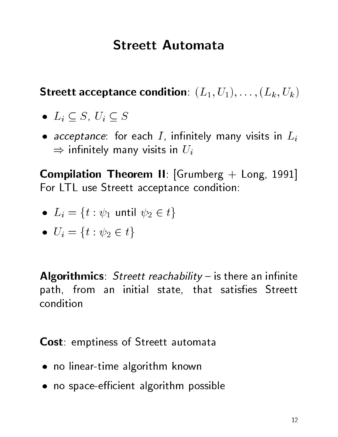## **Streett Automata**

Streett acceptance condition:  $(L_1, U_1), \ldots, (L_k, U_k)$ 

- $\bullet$   $L_i \subseteq S$ ,  $U_i \subseteq S$
- $\mathcal{L}$  . For each interval many visits in  $\mathcal{L}$  , in Lieuwig matrix in Lieuwig many visits in Lieuwig many visits in Lieuwig many visits in Lieuwig many visits in Lieuwig many visits in Lieuwig many visits in Lieuwig in the state of  $\mathbf{u}$  in  $\mathbf{u}$  is the Uisan visit of  $\mathbf{u}$

Compilation Theorem II: [Grumberg + Long, 1991] For LTL use Streett acceptance condition:

- $L_i = \{t : \psi_1 \text{ until } \psi_2 \in t\}$
- $U_i = \{t : \psi_2 \in t\}$

Algorithmics: Streett reachability  $-$  is there an infinite path, from an initial state, that satisfies Streett condition

Cost: emptiness of Streett automata

- no linear-time algorithm known algorithm known algorithm known algorithm known algorithm known algorithm known
- no space-ecient algorithm possible algorithm possible algorithm possible algorithm possible algorithm possible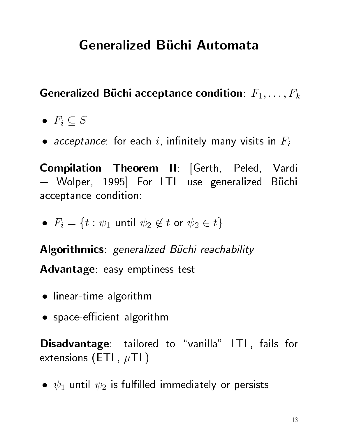# **Generalized Büchi Automata**

Generalized Büchi acceptance condition:  $F_1,\ldots,F_k$ 

- $\bullet$   $F_i \subseteq S$
- acceptance: for each i, in Fig. , in Fig. , in Fig. , we can expect the contract of  $\mu$

Compilation Theorem II: [Gerth, Peled, Vardi + Wolper, 1995] For LTL use generalized Büchi acceptance condition:

 $\bullet$   $F_i = \{t: \psi_1 \text{ until } \psi_2 \not \in t \text{ or } \psi_2 \in t\}$ 

Algorithmics: generalized Büchi reachability

Advantage: easy emptiness test

- $\mathcal{L}$  is a general definition of  $\mathcal{L}$  and  $\mathcal{L}$  are algorithm algorithm and  $\mathcal{L}$
- space-ecient algorithm

Disadvantage: tailored to "vanilla" LTL, fails for extensions (ETL,  $\mu$ TL)

•  $\psi_1$  until  $\psi_2$  is fulfilled immediately or persists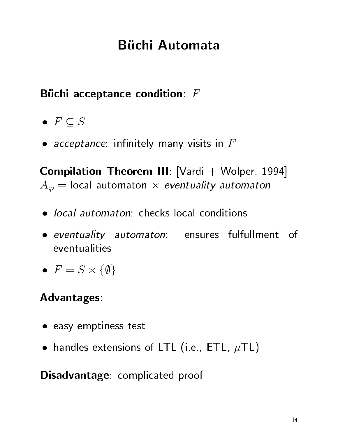# **Büchi Automata**

### Büchi acceptance condition:  $F$

- $\bullet\ \ F\subseteq S$
- acceptance: innitely many visits in F

**Compilation Theorem III:** [Vardi  $+$  Wolper, 1994]  $A_\varphi =$  local automaton  $\times$  *eventuality automaton* 

- *local automaton*: checks local conditions
- eventuality automaton: ensures fulfullment of  $\frac{1}{1}$
- $\bullet$   $F = S \times \{0, 0\}$

#### Advantages:

- easy emptiness test
- handles extensions of LTL (i.e., ETL, TL)

#### Disadvantage: complicated proof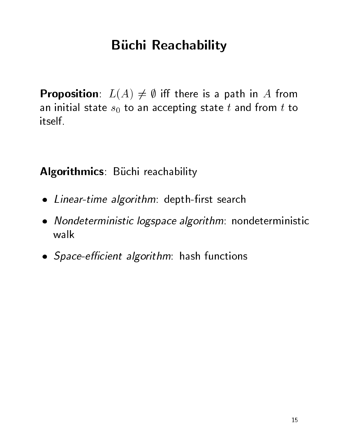# **Büchi Reachability**

**Proposition**:  $L(A) \neq \emptyset$  iff there is a path in A from an initial state  $s_0$  to an accepting state t and from t to itself

Algorithmics: Büchi reachability

- Linear-time algorithm: depth-rst search
- Nondeterministic logspace algorithm: nondeterministic walk
- Space-ecient algorithm: hash functions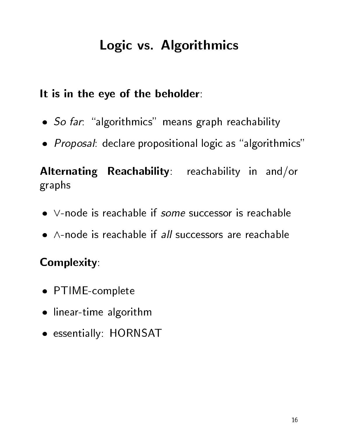# Logic vs. Algorithmics

### It is in the eye of the beholder:

- $\blacksquare$  . The fact that the far-  $\blacksquare$  means graph reachability means graph reachability  $\blacksquare$
- Proposal: declare propositional logic as \algorithmics"

Alternating Reachability: reachability in and/or graphs

- $\bullet\,$  V-node is reachable if some successor is reachable
- $\bullet$   $\wedge$ -node is reachable if all successors are reachable

### Complexity:

- PTIME-complete the complete state of the complete state of the complete state of the complete state of the complete state of the complete state of the complete state of the complete state of the complete state of the compl
- $\blacksquare$  is a group and  $\blacksquare$
- essentially: HORNSAT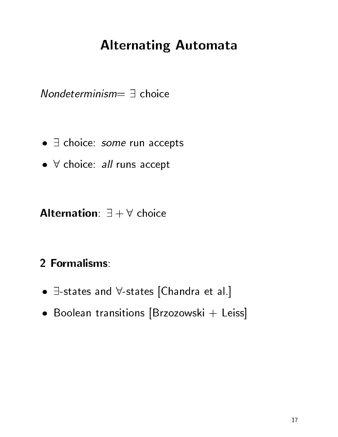# Alternating Automata

 $Nondeterminism = \exists$  choice

- $\bullet$   $\exists$  choice: *some* run accepts
- $\bullet\,$   $\forall$  choice: all runs accept

**Alternation**:  $\exists + \forall$  choice

#### 2 Formalisms:

- $\bullet$   $\exists$ -states and  $\forall$ -states [Chandra et al.]
- Boolean transitions [Brzozowski + Leiss]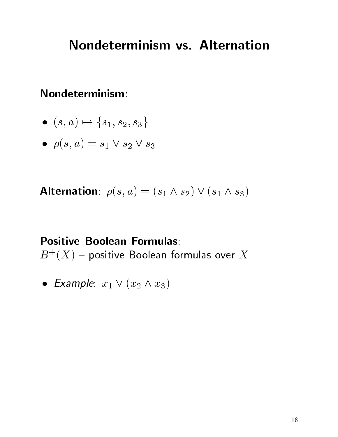### Nondeterminism vs. Alternation

#### $\mathsf{N}$ ondeterminism:

$$
\bullet \ \ (s,a) \mapsto \{s_1,s_2,s_3\}
$$

 $\rho(s, a) = s_1 \vee s_2 \vee s_3$ 

Alternation:  $\rho(s, a) = (s_1 \wedge s_2) \vee (s_1 \wedge s_3)$ 

Positive Boolean Formulas:  $D^+ (A) =$  positive boolean formulas over  $A^-$ 

• Example:  $x_1 \vee (x_2 \wedge x_3)$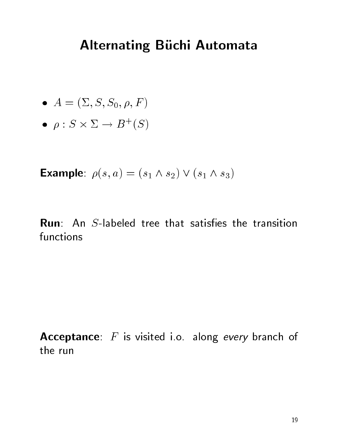# **Alternating Büchi Automata**

• 
$$
A = (\Sigma, S, S_0, \rho, F)
$$

$$
\bullet \ \ \rho : S \times \Sigma \to B^+(S)
$$

**Example**:  $\rho(s, a) = (s_1 \wedge s_2) \vee (s_1 \wedge s_3)$ 

**Run:** An  $S$ -labeled tree that satisfies the transition functions

Acceptance:  $F$  is visited i.o. along every branch of the run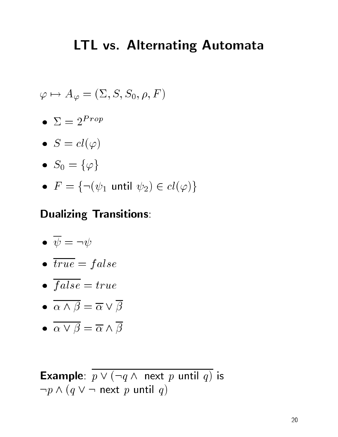## LTL vs. Alternating Automata

$$
\varphi \mapsto A_{\varphi} = (\Sigma, S, S_0, \rho, F)
$$

- $\Delta=2$  rope in the set of  $\Delta=2$
- $S = cl(\varphi)$
- $S_0 = \{\varphi\}$
- $\bullet$   $F = \{\neg (\psi_1 \; \mathsf{until} \; \psi_2) \in cl(\varphi) \}$

#### Dualizing Transitions:

$$
\bullet\ \ \overline{\psi}=\neg\psi
$$

- $\sim$  to  $\sim$  f and  $\sim$   $\sim$
- $f \circ \sigma \circ \sigma$  is the true  $f$
- $\alpha \wedge \beta = \overline{\alpha} \vee \beta$
- $\bullet \ \alpha \vee \beta = \overline{\alpha} \wedge \beta$

**Example:**  $p \vee (\neg q \wedge \text{ next } p \text{ until } q)$  is Example:  $p \vee (\neg q \wedge \text{ next } p \vee \neg p \wedge (q \vee \neg \text{ next } p \text{ until } q))$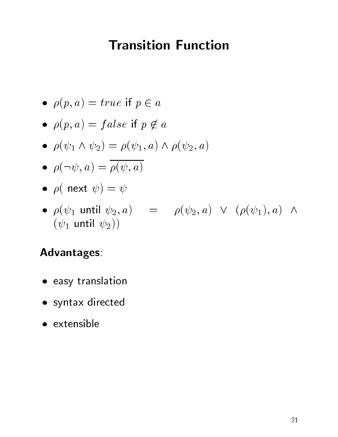## Transition Function

- $\rho(p, a) = true$  if  $p \in a$
- $\rho(p, a) = false$  if  $p \notin a$
- $\rho(\psi_1 \wedge \psi_2) = \rho(\psi_1, a) \wedge \rho(\psi_2, a)$
- $\rho(\neg \psi, a) = \rho(\psi, a)$
- ( next ) =
- $\rho(\psi_1$  until  $\psi_2, a)$  =  $\rho(\psi_2, a)$   $\vee$   $(\rho(\psi_1), a)$   $\wedge$  $(\psi_1$  until  $\psi_2)$

#### Advantages:

- easy translation
- syntax directed
-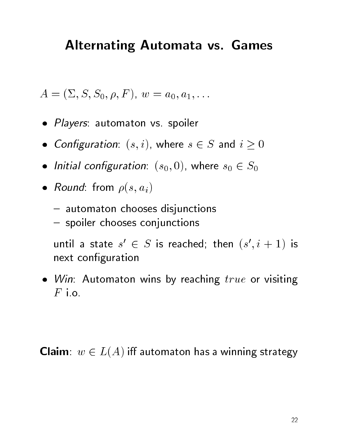## Alternating Automata vs. Games

$$
A=(\Sigma,S,S_0,\rho,F),\ w=a_0,a_1,\ldots
$$

- Players: automaton vs. spoiler
- Configuration:  $(s, i)$ , where  $s \in S$  and  $i \ge 0$
- Initial configuration:  $(s_0,0)$ , where  $s_0\in S_0$
- $\mathbf{r}$  is from the from  $\mathbf{r}$  (signally)
	- automaton chooses disjunctions
	- spoiler chooses conjunctions

until a state state state state state state state in the state of the state in the state in the state in the s  $\sqrt{2}$  $\mathcal D$  is reached; then  $(s$  ,  $t+1$  is next configuration

winds and automaton winds by reaching true or visiting the contract or  $\blacksquare$  $F$  i.o.

**Claim**:  $w \in L(A)$  iff automaton has a winning strategy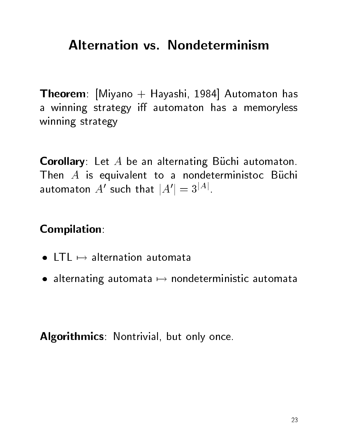# **Alternation vs. Nondeterminism**

**Theorem**: [Miyano + Hayashi, 1984] Automaton has a winning strategy iff automaton has a memoryless winning strategy

**Corollary**: Let  $A$  be an alternating Buchi automaton. Then  $A$  is equivalent to a nondeterministoc Buchi automaton  $A'$  such that  $|A'| = 3^{|A|}$ .

Compilation:

- $\bullet$  LTL  $\mapsto$  alternation automata
- $\bullet$  alternating automata  $\mapsto$  nondeterministic automata

Algorithmics: Nontrivial, but only once.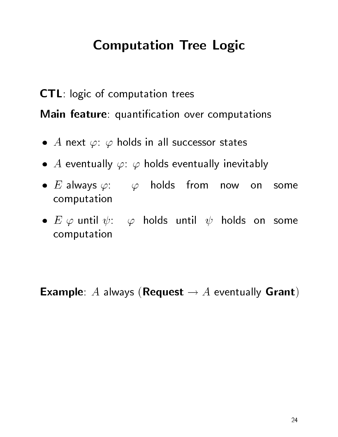# Computation Tree Logic

CTL: logic of computation trees Main feature: quantification over computations

- $\bullet$   $A$  next  $\varphi$ :  $\varphi$  holds in all successor states
- $\bullet$   $A$  eventually  $\varphi\colon\varphi$  holds eventually inevitably
- $E$  always  $\varphi$ :  $\varphi$  holds from now on some computation
- $\bullet$   $E$   $\varphi$  until  $\psi{:}$   $\varphi$  holds until  $\psi$  holds on some computation

**Example:** A always (**Request**  $\rightarrow$  A eventually **Grant**)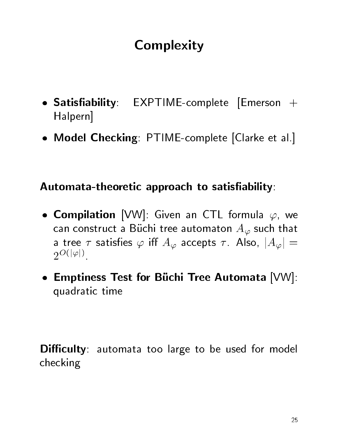# **Complexity**

- $S$  satisfies  $S$  . Expression  $S$  , and the complete  $S$  is the complete  $S$  . Expression  $S$  is the complete  $S$ Halpern]
- Model Checking: PTIME-complete [Clarke et al.]

#### Automata-theoretic approach to satisfiability:

- $\bullet$  Compilation [VW]: Given an CTL formula  $\varphi$ , we can construct a Büchi tree automaton  $A_{\varphi}$  such that a tree  $\tau$  satisfies  $\varphi$  iff  $A_{\varphi}$  accepts  $\tau$ . Also,  $|A_{\varphi}| =$  $2^{O(|\varphi|)}$
- Emptiness Test for Buchi Tree Automata [VW]: quadratic time

**Difficulty**: automata too large to be used for model checking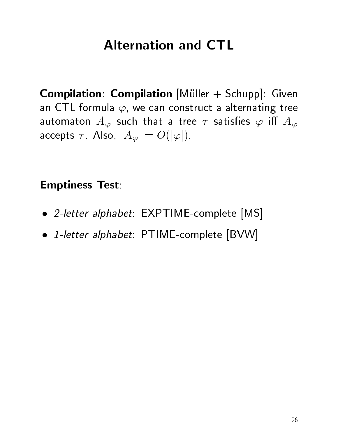## **Alternation and CTL**

**Compilation: Compilation**  $[M\ddot{u}$ Iller  $+$  Schupp]: Given an CTL formula  $\varphi$ , we can construct a alternating tree automaton  $A_{\varphi}$  such that a tree  $\tau$  satisfies  $\varphi$  iff  $A_{\varphi}$ accepts  $\tau$ . Also,  $|A_{\varphi}| = O(|\varphi|)$ .

#### Emptiness Test:

- 2-letter alphabet: EXPTIME-complete [MS]
- 1-letter alphabet: PTIME-complete [BVW]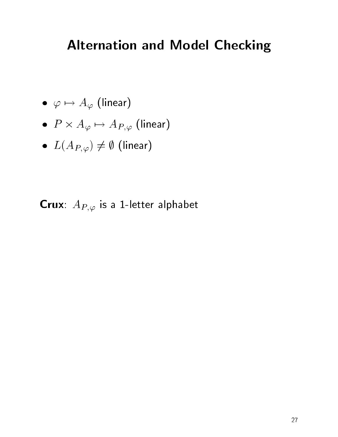# Alternation and Model Checking

- $\bullet \ \ \varphi \mapsto A_{\varphi} \text{ (linear)}$
- $\bullet~~P\times A_{\varphi}\mapsto A_{P,\varphi}~({\rm linear})$
- $\bullet \ \ L(A_{P,\varphi}) \neq \emptyset$  (linear)

**Crux**:  $A_{P,\varphi}$  is a 1-letter alphabet